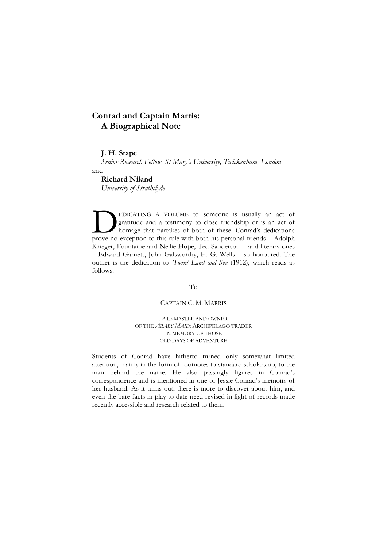# **Conrad and Captain Marris: A Biographical Note**

# **J. H. Stape**

*Senior Research Fellow, St Mary's University, Twickenham, London* and

# **Richard Niland**

*University of Strathclyde*

EDICATING A VOLUME to someone is usually an act of gratitude and a testimony to close friendship or is an act of homage that partakes of both of these. Conrad's dedications EDICATING A VOLUME to someone is usually an act of gratitude and a testimony to close friendship or is an act of homage that partakes of both of these. Conrad's dedications prove no exception to this rule with both his per Krieger, Fountaine and Nellie Hope, Ted Sanderson – and literary ones – Edward Garnett, John Galsworthy, H. G. Wells – so honoured. The outlier is the dedication to *'Twixt Land and Sea* (1912), which reads as follows:

### To

# CAPTAIN C. M. MARRIS

LATE MASTER AND OWNER OF THE *ARABY MAID*: ARCHIPELAGO TRADER IN MEMORY OF THOSE OLD DAYS OF ADVENTURE

Students of Conrad have hitherto turned only somewhat limited attention, mainly in the form of footnotes to standard scholarship, to the man behind the name. He also passingly figures in Conrad's correspondence and is mentioned in one of Jessie Conrad's memoirs of her husband. As it turns out, there is more to discover about him, and even the bare facts in play to date need revised in light of records made recently accessible and research related to them.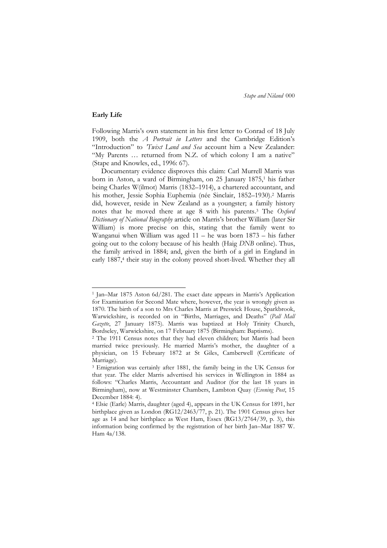#### **Early Life**

-

Following Marris's own statement in his first letter to Conrad of 18 July 1909, both the *A Portrait in Letters* and the Cambridge Edition's "Introduction" to *'Twixt Land and Sea* account him a New Zealander: "My Parents ... returned from N.Z. of which colony I am a native" (Stape and Knowles, ed., 1996: 67).

Documentary evidence disproves this claim: Carl Murrell Marris was born in Aston, a ward of Birmingham, on 25 January 1875,<sup>1</sup> his father being Charles W(ilmot) Marris (1832–1914), a chartered accountant, and his mother, Jessie Sophia Euphemia (née Sinclair, 1852–1930). <sup>2</sup> Marris did, however, reside in New Zealand as a youngster; a family history notes that he moved there at age 8 with his parents. <sup>3</sup> The *Oxford Dictionary of National Biography* article on Marris's brother William (later Sir William) is more precise on this, stating that the family went to Wanganui when William was aged 11 – he was born 1873 – his father going out to the colony because of his health (Haig *DNB* online). Thus, the family arrived in 1884; and, given the birth of a girl in England in early 1887, 4 their stay in the colony proved short-lived. Whether they all

<sup>1</sup> Jan–Mar 1875 Aston 6d/281. The exact date appears in Marris's Application for Examination for Second Mate where, however, the year is wrongly given as 1870. The birth of a son to Mrs Charles Marris at Preswick House, Sparkbrook, Warwickshire, is recorded on in "Births, Marriages, and Deaths" (Pall Mall *Gazette*, 27 January 1875). Marris was baptized at Holy Trinity Church, Bordseley, Warwickshire, on 17 February 1875 (Birmingham: Baptisms).

<sup>&</sup>lt;sup>2</sup> The 1911 Census notes that they had eleven children; but Marris had been married twice previously. He married Marris's mother, the daughter of a physician, on 15 February 1872 at St Giles, Camberwell (Certificate of Marriage).

<sup>3</sup> Emigration was certainly after 1881, the family being in the UK Census for that year. The elder Marris advertised his services in Wellington in 1884 as follows: "Charles Marris, Accountant and Auditor (for the last 18 years in Birmingham), now at Westminster Chambers, Lambton Quay (*Evening Post*, 15 December 1884: 4).

<sup>4</sup> Elsie (Earle) Marris, daughter (aged 4), appears in the UK Census for 1891, her birthplace given as London (RG12/2463/77, p. 21). The 1901 Census gives her age as 14 and her birthplace as West Ham, Essex (RG13/2764/39, p. 3), this information being confirmed by the registration of her birth Jan–Mar 1887 W. Ham 4a/138.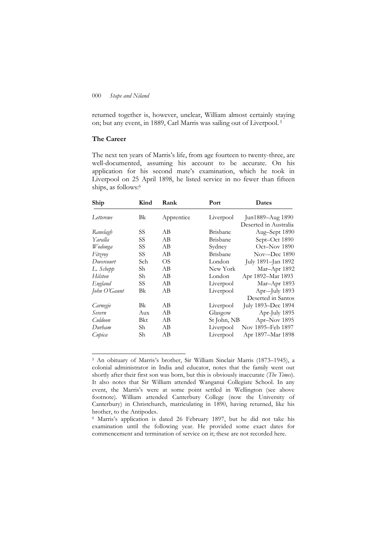returned together is, however, unclear, William almost certainly staying on; but any event, in 1889, Carl Marris was sailing out of Liverpool. 5

# **The Career**

1

The next ten years of Marris's life, from age fourteen to twenty-three, are well-documented, assuming his account to be accurate. On his application for his second mate's examination, which he took in Liverpool on 25 April 1898, he listed service in no fewer than fifteen ships, as follows:<sup>6</sup>

| Ship         | Kind | Rank       | Port            | Dates                 |
|--------------|------|------------|-----------------|-----------------------|
| Letterewe    | Bk   | Apprentice | Liverpool       | Jun1889-Aug 1890      |
|              |      |            |                 | Deserted in Australia |
| Ranelagh     | SS   | AВ         | <b>Brisbane</b> | Aug-Sept 1890         |
| Yaralla      | SS   | AВ         | <b>Brisbane</b> | Sept-Oct 1890         |
| Wodonga      | SS   | AВ         | Sydney          | Oct-Nov 1890          |
| Fitzroy      | SS   | AB         | <b>Brisbane</b> | Nov--Dec 1890         |
| Dovercourt   | Sch  | OS         | London          | July 1891-Jan 1892    |
| L. Schepp    | Sh   | AВ         | New York        | Mar-Apr 1892          |
| Hilston      | Sh   | AВ         | London          | Apr 1892-Mar 1893     |
| England      | SS   | AВ         | Liverpool       | Mar-Apr 1893          |
| John O'Gaunt | Bk   | AB         | Liverpool       | Apr--July 1893        |
|              |      |            |                 | Deserted in Santos    |
| Carnegie     | Bk   | AВ         | Liverpool       | July 1893-Dec 1894    |
| Severn       | Aux  | AВ         | Glasgow         | Apr-July 1895         |
| Culdoon      | Bkt  | AВ         | St John, NB     | Apr-Nov 1895          |
| Durham       | Sh   | AВ         | Liverpool       | Nov 1895–Feb 1897     |
| Cupica       | Sh   | AВ         | Liverpool       | Apr 1897-Mar 1898     |

<sup>5</sup> An obituary of Marris's brother, Sir William Sinclair Marris (1873–1945), a colonial administrator in India and educator, notes that the family went out shortly after their first son was born, but this is obviously inaccurate (*The Times*). It also notes that Sir William attended Wanganui Collegiate School. In any event, the Marris's were at some point settled in Wellington (see above footnote). William attended Canterbury College (now the University of Canterbury) in Christchurch, matriculating in 1890, having returned, like his brother, to the Antipodes.

<sup>6</sup> Marris's application is dated 26 February 1897, but he did not take his examination until the following year. He provided some exact dates for commencement and termination of service on it; these are not recorded here.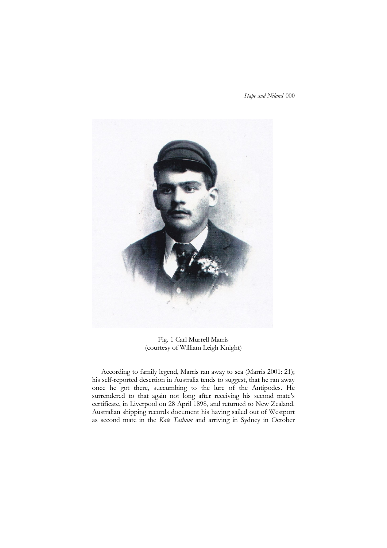

Fig. 1 Carl Murrell Marris (courtesy of William Leigh Knight)

According to family legend, Marris ran away to sea (Marris 2001: 21); his self-reported desertion in Australia tends to suggest, that he ran away once he got there, succumbing to the lure of the Antipodes. He surrendered to that again not long after receiving his second mate's certificate, in Liverpool on 28 April 1898, and returned to New Zealand. Australian shipping records document his having sailed out of Westport as second mate in the *Kate Tathum* and arriving in Sydney in October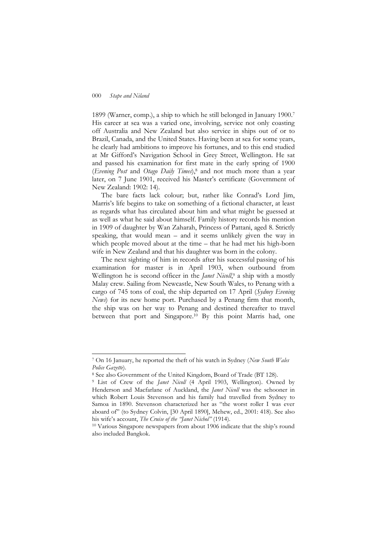1

1899 (Warner, comp.), a ship to which he still belonged in January 1900. 7 His career at sea was a varied one, involving, service not only coasting off Australia and New Zealand but also service in ships out of or to Brazil, Canada, and the United States. Having been at sea for some years, he clearly had ambitions to improve his fortunes, and to this end studied at Mr Gifford's Navigation School in Grey Street, Wellington. He sat and passed his examination for first mate in the early spring of 1900 (*Evening Post* and *Otago Daily Times*),<sup>8</sup> and not much more than a year later, on 7 June 1901, received his Master's certificate (Government of New Zealand: 1902: 14).

The bare facts lack colour; but, rather like Conrad's Lord Jim, Marris's life begins to take on something of a fictional character, at least as regards what has circulated about him and what might be guessed at as well as what he said about himself. Family history records his mention in 1909 of daughter by Wan Zaharah, Princess of Pattani, aged 8. Strictly speaking, that would mean – and it seems unlikely given the way in which people moved about at the time – that he had met his high-born wife in New Zealand and that his daughter was born in the colony.

The next sighting of him in records after his successful passing of his examination for master is in April 1903, when outbound from Wellington he is second officer in the *Janet Nicoll*, <sup>9</sup> a ship with a mostly Malay crew. Sailing from Newcastle, New South Wales, to Penang with a cargo of 745 tons of coal, the ship departed on 17 April (*Sydney Evening News*) for its new home port. Purchased by a Penang firm that month, the ship was on her way to Penang and destined thereafter to travel between that port and Singapore. <sup>10</sup> By this point Marris had, one

<sup>7</sup> On 16 January, he reported the theft of his watch in Sydney (*New South Wales Police Gazette*).

<sup>8</sup> See also Government of the United Kingdom, Board of Trade (BT 128).

<sup>&</sup>lt;sup>9</sup> List of Crew of the *Janet Nicoll* (4 April 1903, Wellington). Owned by Henderson and Macfarlane of Auckland, the *Janet Nicoll* was the schooner in which Robert Louis Stevenson and his family had travelled from Sydney to Samoa in 1890. Stevenson characterized her as "the worst roller I was ever aboard of" (to Sydney Colvin, [30 April 1890], Mehew, ed., 2001: 418). See also his wife's account, *The Cruise of the "Janet Nichol"* (1914).

<sup>10</sup> Various Singapore newspapers from about 1906 indicate that the ship's round also included Bangkok.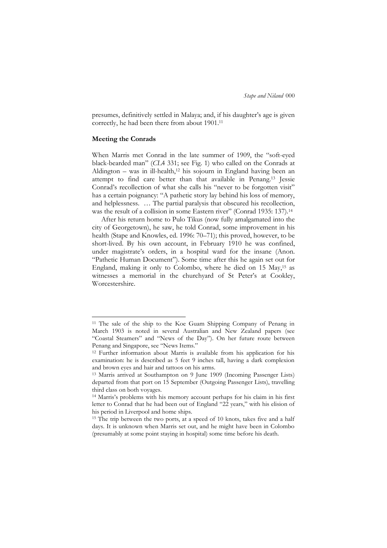presumes, definitively settled in Malaya; and, if his daughter's age is given correctly, he had been there from about 1901. 11

# **Meeting the Conrads**

-

When Marris met Conrad in the late summer of 1909, the "soft-eyed black-bearded man" (*CLA* 331; see Fig. 1) who called on the Conrads at Aldington – was in ill-health,<sup>12</sup> his sojourn in England having been an attempt to find care better than that available in Penang.<sup>13</sup> Jessie Conrad's recollection of what she calls his "never to be forgotten visit" has a certain poignancy: "A pathetic story lay behind his loss of memory, and helplessness. … The partial paralysis that obscured his recollection, was the result of a collision in some Eastern river" (Conrad 1935: 137).<sup>14</sup>

After his return home to Pulo Tikus (now fully amalgamated into the city of Georgetown), he saw, he told Conrad, some improvement in his health (Stape and Knowles, ed. 1996: 70–71); this proved, however, to be short-lived. By his own account, in February 1910 he was confined, under magistrate's orders, in a hospital ward for the insane (Anon. "Pathetic Human Document"). Some time after this he again set out for England, making it only to Colombo, where he died on 15 May,<sup>15</sup> as witnesses a memorial in the churchyard of St Peter's at Cookley, Worcestershire.

<sup>&</sup>lt;sup>11</sup> The sale of the ship to the Koe Guam Shipping Company of Penang in March 1903 is noted in several Australian and New Zealand papers (see "Coastal Steamers" and "News of the Day"). On her future route between Penang and Singapore, see "News Items."

<sup>12</sup> Further information about Marris is available from his application for his examination: he is described as 5 feet 9 inches tall, having a dark complexion and brown eyes and hair and tattoos on his arms.

<sup>13</sup> Marris arrived at Southampton on 9 June 1909 (Incoming Passenger Lists) departed from that port on 15 September (Outgoing Passenger Lists), travelling third class on both voyages.

<sup>14</sup> Marris's problems with his memory account perhaps for his claim in his first letter to Conrad that he had been out of England "22 years," with his elision of his period in Liverpool and home ships.

<sup>&</sup>lt;sup>15</sup> The trip between the two ports, at a speed of 10 knots, takes five and a half days. It is unknown when Marris set out, and he might have been in Colombo (presumably at some point staying in hospital) some time before his death.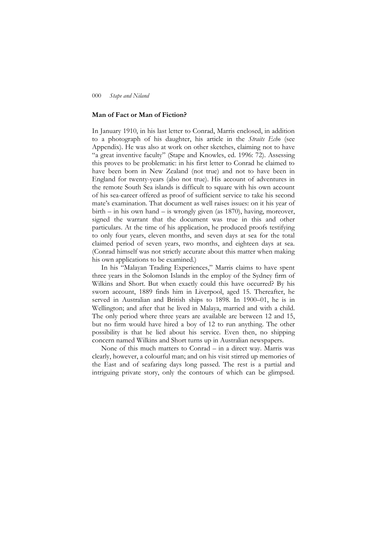#### **Man of Fact or Man of Fiction?**

In January 1910, in his last letter to Conrad, Marris enclosed, in addition to a photograph of his daughter, his article in the *Straits Echo* (see Appendix). He was also at work on other sketches, claiming not to have "a great inventive faculty" (Stape and Knowles, ed. 1996: 72). Assessing this proves to be problematic: in his first letter to Conrad he claimed to have been born in New Zealand (not true) and not to have been in England for twenty-years (also not true). His account of adventures in the remote South Sea islands is difficult to square with his own account of his sea-career offered as proof of sufficient service to take his second mate's examination. That document as well raises issues: on it his year of birth – in his own hand – is wrongly given (as 1870), having, moreover, signed the warrant that the document was true in this and other particulars. At the time of his application, he produced proofs testifying to only four years, eleven months, and seven days at sea for the total claimed period of seven years, two months, and eighteen days at sea. (Conrad himself was not strictly accurate about this matter when making his own applications to be examined.)

In his "Malayan Trading Experiences," Marris claims to have spent three years in the Solomon Islands in the employ of the Sydney firm of Wilkins and Short. But when exactly could this have occurred? By his sworn account, 1889 finds him in Liverpool, aged 15. Thereafter, he served in Australian and British ships to 1898. In 1900–01, he is in Wellington; and after that he lived in Malaya, married and with a child. The only period where three years are available are between 12 and 15, but no firm would have hired a boy of 12 to run anything. The other possibility is that he lied about his service. Even then, no shipping concern named Wilkins and Short turns up in Australian newspapers.

None of this much matters to Conrad – in a direct way. Marris was clearly, however, a colourful man; and on his visit stirred up memories of the East and of seafaring days long passed. The rest is a partial and intriguing private story, only the contours of which can be glimpsed.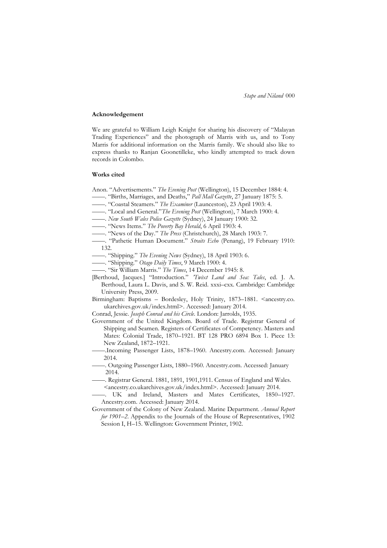#### **Acknowledgement**

We are grateful to William Leigh Knight for sharing his discovery of "Malayan Trading Experiences" and the photograph of Marris with us, and to Tony Marris for additional information on the Marris family. We should also like to express thanks to Ranjan Goonetilleke, who kindly attempted to track down records in Colombo.

#### **Works cited**

Anon. "Advertisements." The Evening Post (Wellington), 15 December 1884: 4.

- ——. ―Births, Marriages, and Deaths,‖ *Pall Mall Gazette*, 27 January 1875: 5.
- ——. ―Coastal Steamers.‖ *The Examiner* (Launceston), 23 April 1903: 4.
- ——. "Local and General." The Evening Post (Wellington), 7 March 1900: 4.
- ——. *New South Wales Police Gazette* (Sydney), 24 January 1900: 32.
- ——. ―News Items.‖ *The Poverty Bay Herald*, 6 April 1903: 4.
- ——. ―News of the Day.‖ *The Press* (Christchurch), 28 March 1903: 7.
- ——. ―Pathetic Human Document.‖ *Straits Echo* (Penang), 19 February 1910: 132.
- ——. ―Shipping.‖ *The Evening News* (Sydney), 18 April 1903: 6.
- ——. ―Shipping.‖ *Otago Daily Times*, 9 March 1900: 4.
- ——. ―Sir William Marris.‖ *The Times*, 14 December 1945: 8.

[Berthoud, Jacques.] "Introduction." *'Twixt Land and Sea: Tales*, ed. J. A. Berthoud, Laura L. Davis, and S. W. Reid. xxxi–cxx. Cambridge: Cambridge University Press, 2009.

Birmingham: Baptisms - Bordesley, Holy Trinity, 1873-1881. <ancestry.co. ukarchives.gov.uk/index.html>. Accessed: January 2014.

Conrad, Jessie. *Joseph Conrad and his Circle*. London: Jarrolds, 1935.

- Government of the United Kingdom. Board of Trade. Registrar General of Shipping and Seamen. Registers of Certificates of Competency. Masters and Mates: Colonial Trade, 1870–1921. BT 128 PRO 6894 Box 1. Piece 13: New Zealand, 1872–1921.
- ——.Incoming Passenger Lists, 1878–1960. Ancestry.com. Accessed: January 2014.
- ——. Outgoing Passenger Lists, 1880–1960. Ancestry.com. Accessed: January 2014.
- ——. Registrar General. 1881, 1891, 1901,1911. Census of England and Wales. <ancestry.co.ukarchives.gov.uk/index.html>. Accessed: January 2014.

——. UK and Ireland, Masters and Mates Certificates, 1850–1927. Ancestry.com. Accessed: January 2014.

Government of the Colony of New Zealand. Marine Department. *Annual Report for 1901–2*. Appendix to the Journals of the House of Representatives, 1902 Session I, H–15. Wellington: Government Printer, 1902.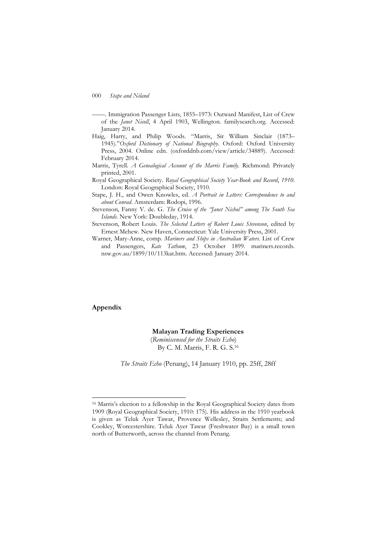- ——. Immigration Passenger Lists, 1855–1973: Outward Manifest, List of Crew of the *Janet Nicoll*, 4 April 1903, Wellington. familysearch.org. Accessed: January 2014.
- Haig, Harry, and Philip Woods. "Marris, Sir William Sinclair (1873– 1945)."Oxford Dictionary of National Biography. Oxford: Oxford University Press, 2004. Online edn. (oxforddnb.com/view/article/34889). Accessed: February 2014.
- Marris, Tyrell. *A Genealogical Account of the Marris Family.* Richmond: Privately printed, 2001.
- Royal Geographical Society. *Royal Geographical Society Year-Book and Record*, *1910*. London: Royal Geographical Society, 1910.
- Stape, J. H., and Owen Knowles, ed. *A Portrait in Letters: Correspondence to and about Conrad*. Amsterdam: Rodopi, 1996.
- Stevenson, Fanny V. de. G. *The Cruise of the "Janet Nichol" among The South Sea Islands*. New York: Doubleday, 1914.
- Stevenson, Robert Louis. *The Selected Letters of Robert Louis Stevenson*, edited by Ernest Mehew. New Haven, Connecticut: Yale University Press, 2001.
- Warner, Mary-Anne, comp. *Mariners and Ships in Australian Waters*. List of Crew and Passengers, *Kate Tathum*, 23 October 1899. mariners.records. nsw.gov.au/1899/10/113kat.htm. Accessed: January 2014.

# **Appendix**

1

### **Malayan Trading Experiences**

(*Reminiscensed for the Straits Echo*) By C. M. Marris, F. R. G. S.<sup>16</sup>

*The Straits Echo* (Penang), 14 January 1910, pp. 25ff, 28ff

<sup>16</sup> Marris's election to a fellowship in the Royal Geographical Society dates from 1909 (Royal Geographical Society, 1910: 175). His address in the 1910 yearbook is given as Teluk Ayer Tawar, Provence Wellesley, Straits Settlements; and Cookley, Worcestershire. Teluk Ayer Tawar (Freshwater Bay) is a small town north of Butterworth, across the channel from Penang.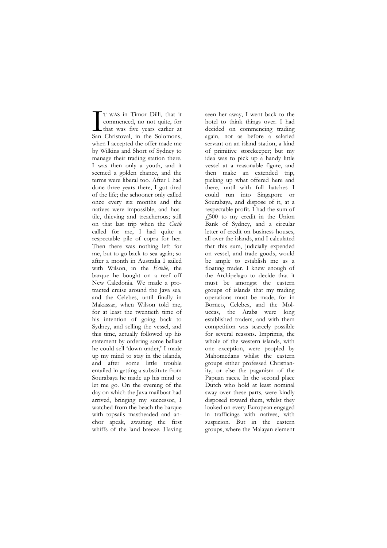T WAS in Timor Dilli, that it commenced, no not quite, for that was five years earlier at T WAS in Timor Dilli, that it<br>commenced, no not quite, for<br>that was five years earlier at<br>San Christoval, in the Solomons, when I accepted the offer made me by Wilkins and Short of Sydney to manage their trading station there. I was then only a youth, and it seemed a golden chance, and the terms were liberal too. After I had done three years there, I got tired of the life; the schooner only called once every six months and the natives were impossible, and hostile, thieving and treacherous; still on that last trip when the *Cecile* called for me, I had quite a respectable pile of copra for her. Then there was nothing left for me, but to go back to sea again; so after a month in Australia I sailed with Wilson, in the *Estelle*, the barque he bought on a reef off New Caledonia. We made a protracted cruise around the Java sea, and the Celebes, until finally in Makassar, when Wilson told me, for at least the twentieth time of his intention of going back to Sydney, and selling the vessel, and this time, actually followed up his statement by ordering some ballast he could sell 'down under,' I made up my mind to stay in the islands, and after some little trouble entailed in getting a substitute from Sourabaya he made up his mind to let me go. On the evening of the day on which the Java mailboat had arrived, bringing my successor, I watched from the beach the barque with topsails mastheaded and anchor apeak, awaiting the first whiffs of the land breeze. Having

seen her away, I went back to the hotel to think things over. I had decided on commencing trading again, not as before a salaried servant on an island station, a kind of primitive storekeeper; but my idea was to pick up a handy little vessel at a reasonable figure, and then make an extended trip, picking up what offered here and there, until with full hatches I could run into Singapore or Sourabaya, and dispose of it, at a respectable profit. I had the sum of  $\sqrt{500}$  to my credit in the Union Bank of Sydney, and a circular letter of credit on business houses, all over the islands, and I calculated that this sum, judicially expended on vessel, and trade goods, would be ample to establish me as a floating trader. I knew enough of the Archipelago to decide that it must be amongst the eastern groups of islands that my trading operations must be made, for in Borneo, Celebes, and the Moluccas, the Arabs were long established traders, and with them competition was scarcely possible for several reasons. Imprimis, the whole of the western islands, with one exception, were peopled by Mahomedans whilst the eastern groups either professed Christianity, or else the paganism of the Papuan races. In the second place Dutch who hold at least nominal sway over these parts, were kindly disposed toward them, whilst they looked on every European engaged in trafficings with natives, with suspicion. But in the eastern groups, where the Malayan element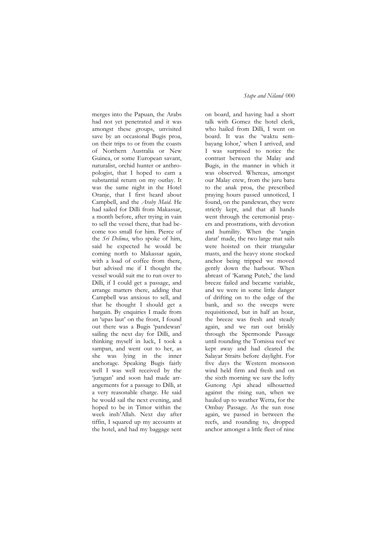merges into the Papuan, the Arabs had not yet penetrated and it was amongst these groups, unvisited save by an occasional Bugis proa, on their trips to or from the coasts of Northern Australia or New Guinea, or some European savant, naturalist, orchid hunter or anthropologist, that I hoped to earn a substantial return on my outlay. It was the same night in the Hotel Oranje, that I first heard about Campbell, and the *Araby Maid*. He had sailed for Dilli from Makassar, a month before, after trying in vain to sell the vessel there, that had become too small for him. Pierce of the *Sri Delima*, who spoke of him, said he expected he would be coming north to Makassar again, with a load of coffee from there, but advised me if I thought the vessel would suit me to run over to Dilli, if I could get a passage, and arrange matters there, adding that Campbell was anxious to sell, and that he thought I should get a bargain. By enquiries I made from an 'upas laut' on the front, I found out there was a Bugis 'pandewan' sailing the next day for Dilli, and thinking myself in luck, I took a sampan, and went out to her, as she was lying in the inner anchorage. Speaking Bugis fairly well I was well received by the ‗juragan' and soon had made arrangements for a passage to Dilli, at a very reasonable charge. He said he would sail the next evening, and hoped to be in Timor within the week insh'Allah. Next day after tiffin, I squared up my accounts at the hotel, and had my baggage sent

# *Stape and Niland* 000

on board, and having had a short talk with Gomez the hotel clerk, who hailed from Dilli, I went on board. It was the 'waktu sembayang lohor,' when I arrived, and I was surprised to notice the contrast between the Malay and Bugis, in the manner in which it was observed. Whereas, amongst our Malay crew, from the juru batu to the anak proa, the prescribed praying hours passed unnoticed, I found, on the pandewan, they were strictly kept, and that all hands went through the ceremonial prayers and prostrations, with devotion and humility. When the 'angin darat' made, the two large mat sails were hoisted on their triangular masts, and the heavy stone stocked anchor being tripped we moved gently down the harbour. When abreast of 'Karang Puteh,' the land breeze failed and became variable, and we were in some little danger of drifting on to the edge of the bank, and so the sweeps were requisitioned, but in half an hour, the breeze was fresh and steady again, and we ran out briskly through the Spermonde Passage until rounding the Tomissa reef we kept away and had cleared the Salayar Straits before daylight. For five days the Western monsoon wind held firm and fresh and on the sixth morning we saw the lofty Gunong Api ahead silhouetted against the rising sun, when we hauled up to weather Wetta, for the Ombay Passage. As the sun rose again, we passed in between the reefs, and rounding to, dropped anchor amongst a little fleet of nine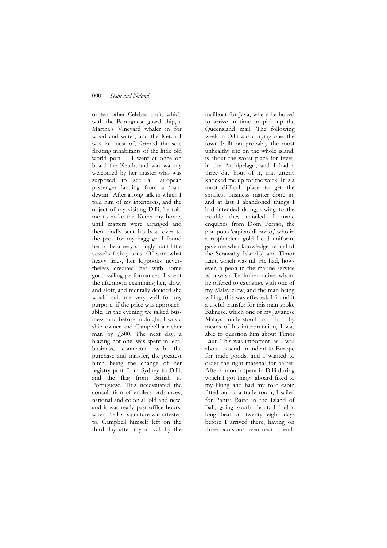or ten other Celebes craft, which with the Portuguese guard ship, a Martha's Vineyard whaler in for wood and water, and the Ketch I was in quest of, formed the sole floating inhabitants of the little old world port. – I went at once on board the Ketch, and was warmly welcomed by her master who was surprised to see a European passenger landing from a 'pandewan.' After a long talk in which I told him of my intentions, and the object of my visiting Dilli, he told me to make the Ketch my home, until matters were arranged and then kindly sent his boat over to the proa for my baggage. I found her to be a very strongly built little vessel of sixty tons. Of somewhat heavy lines, her logbooks nevertheless credited her with some good sailing performances. I spent the afternoon examining her, alow, and aloft, and mentally decided she would suit me very well for my purpose, if the price was approachable. In the evening we talked business, and before midnight, I was a ship owner and Campbell a richer man by £300. The next day, a blazing hot one, was spent in legal business, connected with the purchase and transfer, the greatest hitch being the change of her registry port from Sydney to Dilli, and the flag from British to Portuguese. This necessitated the consultation of endless ordnances, national and colonial, old and new, and it was really past office hours, when the last signature was attested to. Campbell himself left on the third day after my arrival, by the

mailboat for Java, where he hoped to arrive in time to pick up the Queensland mail. The following week in Dilli was a trying one, the town built on probably the most unhealthy site on the whole island, is about the worst place for fever, in the Archipelago, and I had a three day bout of it, that utterly knocked me up for the week. It is a most difficult place to get the smallest business matter done in, and at last I abandoned things I had intended doing, owing to the trouble they entailed. I made enquiries from Dom Ferrao, the pompous ‗capitao di porto,' who in a resplendent gold laced uniform, gave me what knowledge he had of the Serawatty Island[s] and Timor Laut, which was nil. He had, however, a peon in the marine service who was a Tenimber native, whom he offered to exchange with one of my Malay crew, and the man being willing, this was effected. I found it a useful transfer for this man spoke Balinese, which one of my Javanese Malays understood so that by means of his interpretation, I was able to question him about Timor Laut. This was important, as I was about to send an indent to Europe for trade goods, and I wanted to order the right material for barter. After a month spent in Dilli during which I got things aboard fixed to my liking and had my fore cabin fitted out as a trade room, I sailed for Pantai Barat in the Island of Bali, going south about. I had a long beat of twenty eight days before I arrived there, having on three occasions been near to end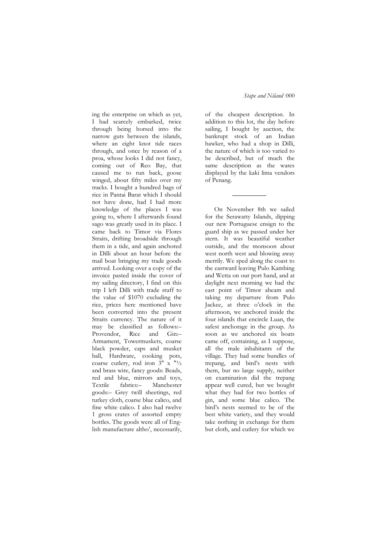ing the enterprise on which as yet, I had scarcely embarked, twice through being horsed into the narrow guts between the islands, where an eight knot tide races through, and once by reason of a proa, whose looks I did not fancy, coming out of Reo Bay, that caused me to run back, goose winged, about fifty miles over my tracks. I bought a hundred bags of rice in Pantai Barat which I should not have done, had I had more knowledge of the places I was going to, where I afterwards found sago was greatly used in its place. I came back to Timor via Flores Straits, drifting broadside through them in a tide, and again anchored in Dilli about an hour before the mail boat bringing my trade goods arrived. Looking over a copy of the invoice pasted inside the cover of my sailing directory, I find on this trip I left Dilli with trade stuff to the value of \$1070 excluding the rice, prices here mentioned have been converted into the present Straits currency. The nature of it may be classified as follows:– Provendor, Rice and Gin:– Armament, Towermuskets, coarse black powder, caps and musket ball, Hardware, cooking pots, coarse cutlery, rod iron  $3'' \times 1\frac{1}{2}$ and brass wire, fancy goods: Beads, red and blue, mirrors and toys, Textile fabrics:– Manchester goods:– Grey twill sheetings, red turkey cloth, coarse blue calico, and fine white calico. I also had twelve 1 gross crates of assorted empty bottles. The goods were all of English manufacture altho', necessarily,

of the cheapest description. In addition to this lot, the day before sailing, I bought by auction, the bankrupt stock of an Indian hawker, who had a shop in Dilli, the nature of which is too varied to be described, but of much the same description as the wares displayed by the kaki lima vendors of Penang.

On November 8th we sailed for the Serawatty Islands, dipping our new Portuguese ensign to the guard ship as we passed under her stern. It was beautiful weather outside, and the monsoon about west north west and blowing away merrily. We sped along the coast to the eastward leaving Pulo Kambing and Wetta on our port hand, and at daylight next morning we had the east point of Timor abeam and taking my departure from Pulo Jackee, at three o'clock in the afternoon, we anchored inside the four islands that encircle Luan, the safest anchorage in the group. As soon as we anchored six boats came off, containing, as I suppose, all the male inhabitants of the village. They had some bundles of trepang, and bird's nests with them, but no large supply, neither on examination did the trepang appear well cured, but we bought what they had for two bottles of gin, and some blue calico. The bird's nests seemed to be of the best white variety, and they would take nothing in exchange for them but cloth, and cutlery for which we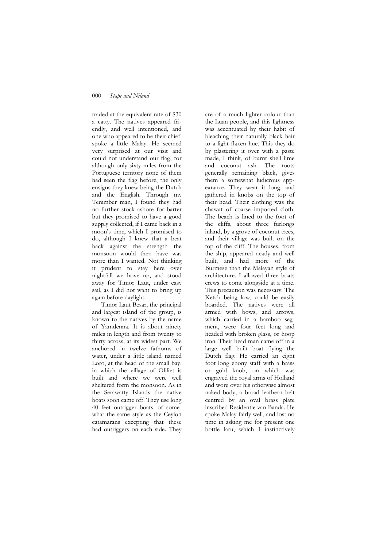traded at the equivalent rate of \$30 a catty. The natives appeared friendly, and well intentioned, and one who appeared to be their chief, spoke a little Malay. He seemed very surprised at our visit and could not understand our flag, for although only sixty miles from the Portuguese territory none of them had seen the flag before, the only ensigns they knew being the Dutch and the English. Through my Tenimber man, I found they had no further stock ashore for barter but they promised to have a good supply collected, if I came back in a moon's time, which I promised to do, although I knew that a beat back against the strength the monsoon would then have was more than I wanted. Not thinking it prudent to stay here over nightfall we hove up, and stood away for Timor Laut, under easy sail, as I did not want to bring up again before daylight.

Timor Laut Besar, the principal and largest island of the group, is known to the natives by the name of Yamdenna. It is about ninety miles in length and from twenty to thirty across, at its widest part. We anchored in twelve fathoms of water, under a little island named Loro, at the head of the small bay, in which the village of Oliliet is built and where we were well sheltered form the monsoon. As in the Serawatty Islands the native boats soon came off. They use long 40 feet outrigger boats, of somewhat the same style as the Ceylon catamarans excepting that these had outriggers on each side. They

are of a much lighter colour than the Luan people, and this lightness was accentuated by their habit of bleaching their naturally black hair to a light flaxen hue. This they do by plastering it over with a paste made, I think, of burnt shell lime and coconut ash. The roots generally remaining black, gives them a somewhat ludicrous appearance. They wear it long, and gathered in knobs on the top of their head. Their clothing was the chawat of coarse imported cloth. The beach is lined to the foot of the cliffs, about three furlongs inland, by a grove of coconut trees, and their village was built on the top of the cliff. The houses, from the ship, appeared neatly and well built, and had more of the Burmese than the Malayan style of architecture. I allowed three boats crews to come alongside at a time. This precaution was necessary. The Ketch being low, could be easily boarded. The natives were all armed with bows, and arrows, which carried in a bamboo segment, were four feet long and headed with broken glass, or hoop iron. Their head man came off in a large well built boat flying the Dutch flag. He carried an eight foot long ebony staff with a brass or gold knob, on which was engraved the royal arms of Holland and wore over his otherwise almost naked body, a broad leathern belt centred by an oval brass plate inscribed Residentie van Banda. He spoke Malay fairly well, and lost no time in asking me for present one bottle laru, which I instinctively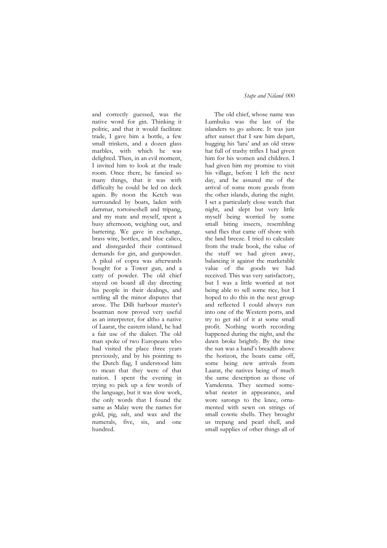and correctly guessed, was the native word for gin. Thinking it politic, and that it would facilitate trade, I gave him a bottle, a few small trinkets, and a dozen glass marbles, with which he was delighted. Then, in an evil moment, I invited him to look at the trade room. Once there, he fancied so many things, that it was with difficulty he could be led on deck again. By noon the Ketch was surrounded by boats, laden with dammar, tortoiseshell and tripang, and my mate and myself, spent a busy afternoon, weighing out, and bartering. We gave in exchange, brass wire, bottles, and blue calico, and disregarded their continued demands for gin, and gunpowder. A pikul of copra was afterwards bought for a Tower gun, and a catty of powder. The old chief stayed on board all day directing his people in their dealings, and settling all the minor disputes that arose. The Dilli harbour master's boatman now proved very useful as an interpreter, for altho a native of Laarat, the eastern island, he had a fair use of the dialect. The old man spoke of two Europeans who had visited the place three years previously, and by his pointing to the Dutch flag, I understood him to mean that they were of that nation. I spent the evening in trying to pick up a few words of the language, but it was slow work, the only words that I found the same as Malay were the names for gold, pig, salt, and wax and the numerals, five, six, and one hundred.

## *Stape and Niland* 000

The old chief, whose name was Lumbuku was the last of the islanders to go ashore. It was just after sunset that I saw him depart, hugging his 'laru' and an old straw hat full of trashy trifles I had given him for his women and children. I had given him my promise to visit his village, before I left the next day, and he assured me of the arrival of some more goods from the other islands, during the night. I set a particularly close watch that night, and slept but very little myself being worried by some small biting insects, resembling sand flies that came off shore with the land breeze. I tried to calculate from the trade book, the value of the stuff we had given away, balancing it against the marketable value of the goods we had received. This was very satisfactory, but I was a little worried at not being able to sell some rice, but I hoped to do this in the next group and reflected I could always run into one of the Western ports, and try to get rid of it at some small profit. Nothing worth recording happened during the night, and the dawn broke brightly. By the time the sun was a hand's breadth above the horizon, the boats came off, some being new arrivals from Laarat, the natives being of much the same description as those of Yamdenna. They seemed somewhat neater in appearance, and wore sarongs to the knee, ornamented with sewn on strings of small cowrie shells. They brought us trepang and pearl shell, and small supplies of other things all of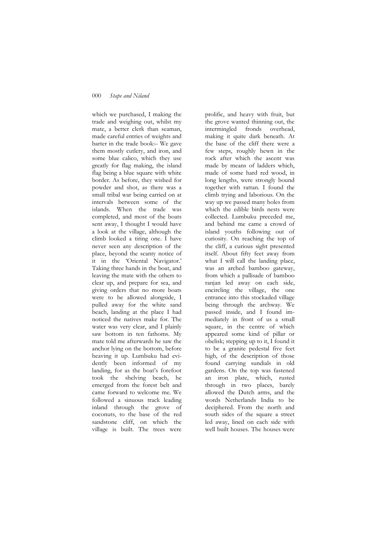which we purchased, I making the trade and weighing out, whilst my mate, a better clerk than seaman, made careful entries of weights and barter in the trade book:– We gave them mostly cutlery, and iron, and some blue calico, which they use greatly for flag making, the island flag being a blue square with white border. As before, they wished for powder and shot, as there was a small tribal war being carried on at intervals between some of the islands. When the trade was completed, and most of the boats sent away, I thought I would have a look at the village, although the climb looked a tiring one. I have never seen any description of the place, beyond the scanty notice of it in the 'Oriental Navigator.' Taking three hands in the boat, and leaving the mate with the others to clear up, and prepare for sea, and giving orders that no more boats were to be allowed alongside, I pulled away for the white sand beach, landing at the place I had noticed the natives make for. The water was very clear, and I plainly saw bottom in ten fathoms. My mate told me afterwards he saw the anchor lying on the bottom, before heaving it up. Lumbuku had evidently been informed of my landing, for as the boat's forefoot took the shelving beach, he emerged from the forest belt and came forward to welcome me. We followed a sinuous track leading inland through the grove of coconuts, to the base of the red sandstone cliff, on which the village is built. The trees were

prolific, and heavy with fruit, but the grove wanted thinning out, the intermingled fronds overhead, making it quite dark beneath. At the base of the cliff there were a few steps, roughly hewn in the rock after which the ascent was made by means of ladders which, made of some hard red wood, in long lengths, were strongly bound together with rattan. I found the climb trying and laborious. On the way up we passed many holes from which the edible birds nests were collected. Lumbuku preceded me, and behind me came a crowd of island youths following out of curiosity. On reaching the top of the cliff, a curious sight presented itself. About fifty feet away from what I will call the landing place, was an arched bamboo gateway, from which a pallisade of bamboo ranjan led away on each side, encircling the village, the one entrance into this stockaded village being through the archway. We passed inside, and I found immediately in front of us a small square, in the centre of which appeared some kind of pillar or obelisk; stepping up to it, I found it to be a granite pedestal five feet high, of the description of those found carrying sundials in old gardens. On the top was fastened an iron plate, which, rusted through in two places, barely allowed the Dutch arms, and the words Netherlands India to be deciphered. From the north and south sides of the square a street led away, lined on each side with well built houses. The houses were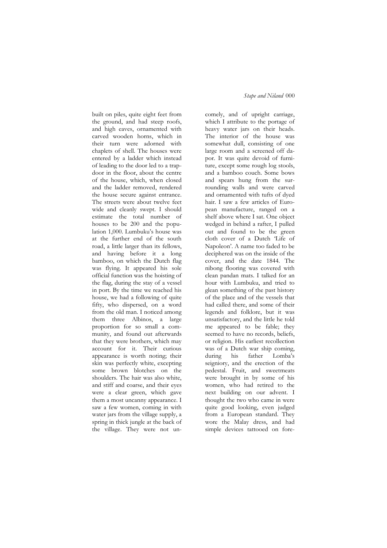built on piles, quite eight feet from the ground, and had steep roofs, and high eaves, ornamented with carved wooden horns, which in their turn were adorned with chaplets of shell. The houses were entered by a ladder which instead of leading to the door led to a trapdoor in the floor, about the centre of the house, which, when closed and the ladder removed, rendered the house secure against entrance. The streets were about twelve feet wide and cleanly swept. I should estimate the total number of houses to be 200 and the population 1,000. Lumbuku's house was at the further end of the south road, a little larger than its fellows, and having before it a long bamboo, on which the Dutch flag was flying. It appeared his sole official function was the hoisting of the flag, during the stay of a vessel in port. By the time we reached his house, we had a following of quite fifty, who dispersed, on a word from the old man. I noticed among them three Albinos, a large proportion for so small a community, and found out afterwards that they were brothers, which may account for it. Their curious appearance is worth noting; their skin was perfectly white, excepting some brown blotches on the shoulders. The hair was also white, and stiff and coarse, and their eyes were a clear green, which gave them a most uncanny appearance. I saw a few women, coming in with water jars from the village supply, a spring in thick jungle at the back of the village. They were not un-

# *Stape and Niland* 000

comely, and of upright carriage, which I attribute to the portage of heavy water jars on their heads. The interior of the house was somewhat dull, consisting of one large room and a screened off dapor. It was quite devoid of furniture, except some rough log stools, and a bamboo couch. Some bows and spears hung from the surrounding walls and were carved and ornamented with tufts of dyed hair. I saw a few articles of European manufacture, ranged on a shelf above where I sat. One object wedged in behind a rafter, I pulled out and found to be the green cloth cover of a Dutch 'Life of Napoleon'. A name too faded to be deciphered was on the inside of the cover, and the date 1844. The nibong flooring was covered with clean pandan mats. I talked for an hour with Lumbuku, and tried to glean something of the past history of the place and of the vessels that had called there, and some of their legends and folklore, but it was unsatisfactory, and the little he told me appeared to be fable; they seemed to have no records, beliefs, or religion. His earliest recollection was of a Dutch war ship coming, during his father Lomba's seigniory, and the erection of the pedestal. Fruit, and sweetmeats were brought in by some of his women, who had retired to the next building on our advent. I thought the two who came in were quite good looking, even judged from a European standard. They wore the Malay dress, and had simple devices tattooed on fore-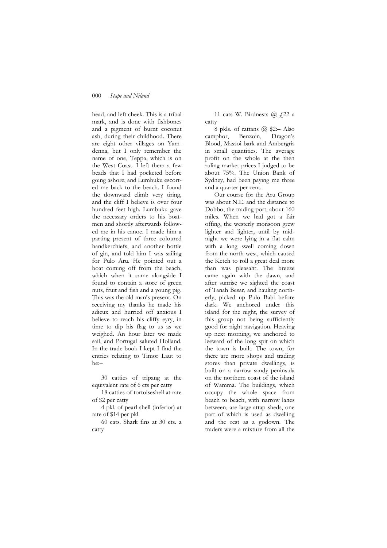head, and left cheek. This is a tribal mark, and is done with fishbones and a pigment of burnt coconut ash, during their childhood. There are eight other villages on Yamdenna, but I only remember the name of one, Teppa, which is on the West Coast. I left them a few beads that I had pocketed before going ashore, and Lumbuku escorted me back to the beach. I found the downward climb very tiring, and the cliff I believe is over four hundred feet high. Lumbuku gave the necessary orders to his boatmen and shortly afterwards followed me in his canoe. I made him a parting present of three coloured handkerchiefs, and another bottle of gin, and told him I was sailing for Pulo Aru. He pointed out a boat coming off from the beach, which when it came alongside I found to contain a store of green nuts, fruit and fish and a young pig. This was the old man's present. On receiving my thanks he made his adieux and hurried off anxious I believe to reach his cliffy eyry, in time to dip his flag to us as we weighed. An hour later we made sail, and Portugal saluted Holland. In the trade book I kept I find the entries relating to Timor Laut to be:–

30 catties of tripang at the equivalent rate of 6 cts per catty

18 catties of tortoiseshell at rate of \$2 per catty

4 pkl. of pearl shell (inferior) at rate of \$14 per pkl.

60 cats. Shark fins at 30 cts. a catty

11 cats W. Birdnests  $\omega$   $f$  22 a catty

8 pkls. of rattans @ \$2:– Also camphor, Benzoin, Dragon's Blood, Massoi bark and Ambergris in small quantities. The average profit on the whole at the then ruling market prices I judged to be about 75%. The Union Bank of Sydney, had been paying me three and a quarter per cent.

Our course for the Aru Group was about N.E. and the distance to Dobbo, the trading port, about 160 miles. When we had got a fair offing, the westerly monsoon grew lighter and lighter, until by midnight we were lying in a flat calm with a long swell coming down from the north west, which caused the Ketch to roll a great deal more than was pleasant. The breeze came again with the dawn, and after sunrise we sighted the coast of Tanah Besar, and hauling northerly, picked up Pulo Babi before dark. We anchored under this island for the night, the survey of this group not being sufficiently good for night navigation. Heaving up next morning, we anchored to leeward of the long spit on which the town is built. The town, for there are more shops and trading stores than private dwellings, is built on a narrow sandy peninsula on the northern coast of the island of Wamma. The buildings, which occupy the whole space from beach to beach, with narrow lanes between, are large attap sheds, one part of which is used as dwelling and the rest as a godown. The traders were a mixture from all the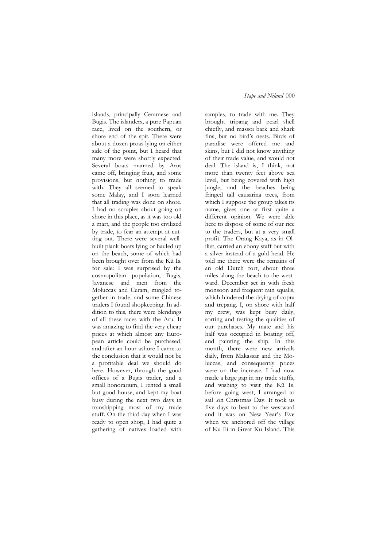islands, principally Ceramese and Bugis. The islanders, a pure Papuan race, lived on the southern, or shore end of the spit. There were about a dozen proas lying on either side of the point, but I heard that many more were shortly expected. Several boats manned by Arus came off, bringing fruit, and some provisions, but nothing to trade with. They all seemed to speak some Malay, and I soon learned that all trading was done on shore. I had no scruples about going on shore in this place, as it was too old a mart, and the people too civilized by trade, to fear an attempt at cutting out. There were several wellbuilt plank boats lying or hauled up on the beach, some of which had been brought over from the Kü Is. for sale: I was surprised by the cosmopolitan population, Bugis, Javanese and men from the Moluccas and Ceram, mingled together in trade, and some Chinese traders I found shopkeeping. In addition to this, there were blendings of all these races with the Aru. It was amazing to find the very cheap prices at which almost any European article could be purchased, and after an hour ashore I came to the conclusion that it would not be a profitable deal we should do here. However, through the good offices of a Bugis trader, and a small honorarium, I rented a small but good house, and kept my boat busy during the next two days in transhipping most of my trade stuff. On the third day when I was ready to open shop, I had quite a gathering of natives loaded with

## *Stape and Niland* 000

samples, to trade with me. They brought tripang and pearl shell chiefly, and massoi bark and shark fins, but no bird's nests. Birds of paradise were offered me and skins, but I did not know anything of their trade value, and would not deal. The island is, I think, not more than twenty feet above sea level, but being covered with high jungle, and the beaches being fringed tall causarina trees, from which I suppose the group takes its name, gives one at first quite a different opinion. We were able here to dispose of some of our rice to the traders, but at a very small profit. The Orang Kaya, as in Oliliet, carried an ebony staff but with a silver instead of a gold head. He told me there were the remains of an old Dutch fort, about three miles along the beach to the westward. December set in with fresh monsoon and frequent rain squalls, which hindered the drying of copra and trepang. I, on shore with half my crew, was kept busy daily, sorting and testing the qualities of our purchases. My mate and his half was occupied in boating off, and painting the ship. In this month, there were new arrivals daily, from Makassar and the Moluccas, and consequently prices were on the increase. I had now made a large gap in my trade stuffs, and wishing to visit the Kü Is. before going west, I arranged to sail .on Christmas Day. It took us five days to beat to the westward and it was on New Year's Eve when we anchored off the village of Ku Ili in Great Ku Island. This